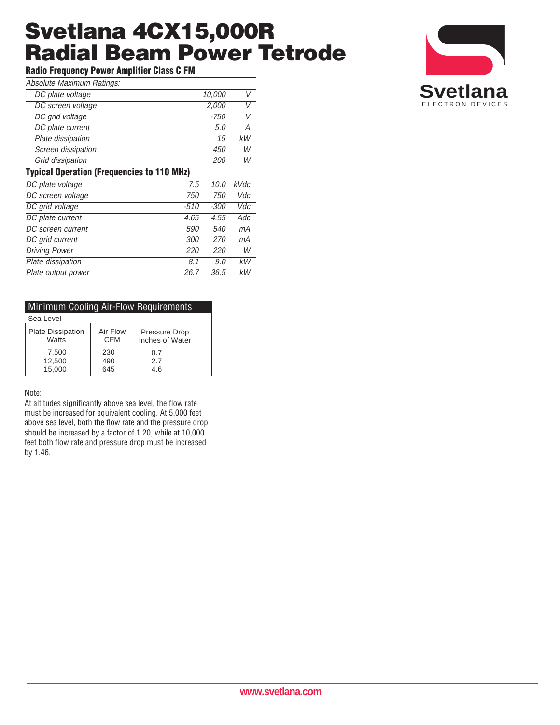## **Svetlana 4CX15,000R Radial Beam Power Tetrode**

**Radio Frequency Power Amplifier Class C FM**

| Absolute Maximum Ratings: |  |
|---------------------------|--|

| ADSUNIC MAXIIINIII NAMIYS.                        |            |            |      |  |
|---------------------------------------------------|------------|------------|------|--|
| DC plate voltage                                  |            | 10,000     | V    |  |
| DC screen voltage                                 |            | 2,000      | V    |  |
| DC grid voltage                                   |            | -750       | V    |  |
| DC plate current                                  |            | 5.0        | Α    |  |
| Plate dissipation                                 |            | 15         | kW   |  |
| Screen dissipation                                |            | 450        | W    |  |
| Grid dissipation                                  |            | <i>200</i> | W    |  |
| <b>Typical Operation (Frequencies to 110 MHz)</b> |            |            |      |  |
| DC plate voltage                                  | 7.5        | 10.0       | kVdc |  |
| DC screen voltage                                 | 750        | 750        | Vdc  |  |
| DC grid voltage                                   | $-510$     | -300       | Vdc  |  |
| DC plate current                                  | 4.65       | 4.55       | Adc  |  |
| DC screen current                                 | 590        | <i>540</i> | mА   |  |
| DC grid current                                   | <i>300</i> | <i>270</i> | mА   |  |
| <b>Driving Power</b>                              | 220        | 220        | W    |  |
| Plate dissipation                                 | 8.1        | 9.0        | kW   |  |
| Plate output power                                | 26.7       | 36.5       | кW   |  |

| <b>Minimum Cooling Air-Flow Requirements</b> |            |                 |  |  |
|----------------------------------------------|------------|-----------------|--|--|
| Sea Level                                    |            |                 |  |  |
| Plate Dissipation                            | Air Flow   | Pressure Drop   |  |  |
| Watts                                        | <b>CFM</b> | Inches of Water |  |  |
| 7,500                                        | 230        | 0.7             |  |  |
| 12,500                                       | 490        | 2.7             |  |  |
| 15,000                                       | 645        | 4.6             |  |  |

#### Note:

At altitudes significantly above sea level, the flow rate must be increased for equivalent cooling. At 5,000 feet above sea level, both the flow rate and the pressure drop should be increased by a factor of 1.20, while at 10,000 feet both flow rate and pressure drop must be increased by 1.46.